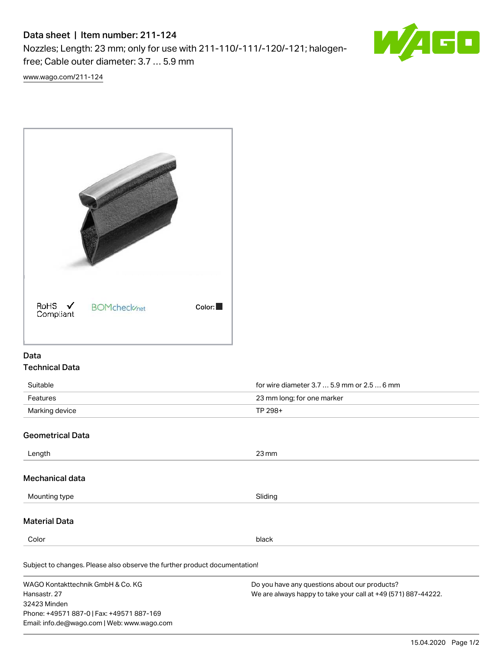# Data sheet | Item number: 211-124

Nozzles; Length: 23 mm; only for use with 211-110/-111/-120/-121; halogenfree; Cable outer diameter: 3.7 … 5.9 mm



[www.wago.com/211-124](http://www.wago.com/211-124)



### Data Technical Data

| Suitable         | for wire diameter 3.7 $\dots$ 5.9 mm or 2.5 $\dots$ 6 mm |  |
|------------------|----------------------------------------------------------|--|
| Features         | 23 mm long; for one marker                               |  |
| Marking device   | TP 298+                                                  |  |
| Geometrical Data |                                                          |  |

### ometrical Data

| Length                                                                     | $23 \,\mathrm{mm}$                                                                                                      |  |  |  |
|----------------------------------------------------------------------------|-------------------------------------------------------------------------------------------------------------------------|--|--|--|
| Mechanical data                                                            |                                                                                                                         |  |  |  |
| Mounting type                                                              | Sliding                                                                                                                 |  |  |  |
| <b>Material Data</b>                                                       |                                                                                                                         |  |  |  |
| Color                                                                      | black                                                                                                                   |  |  |  |
| Subject to changes. Please also observe the further product documentation! |                                                                                                                         |  |  |  |
| WAGO Kontakttechnik GmbH & Co. KG<br>$11$ anaaatu 07                       | Do you have any questions about our products?<br>$M_{2}$ are abusing homeista take using a liet $140$ (E74) 007 $14002$ |  |  |  |

Hansastr. 27 32423 Minden Phone: +49571 887-0 | Fax: +49571 887-169 Email: info.de@wago.com | Web: www.wago.com We are always happy to take your call at +49 (571) 887-44222.